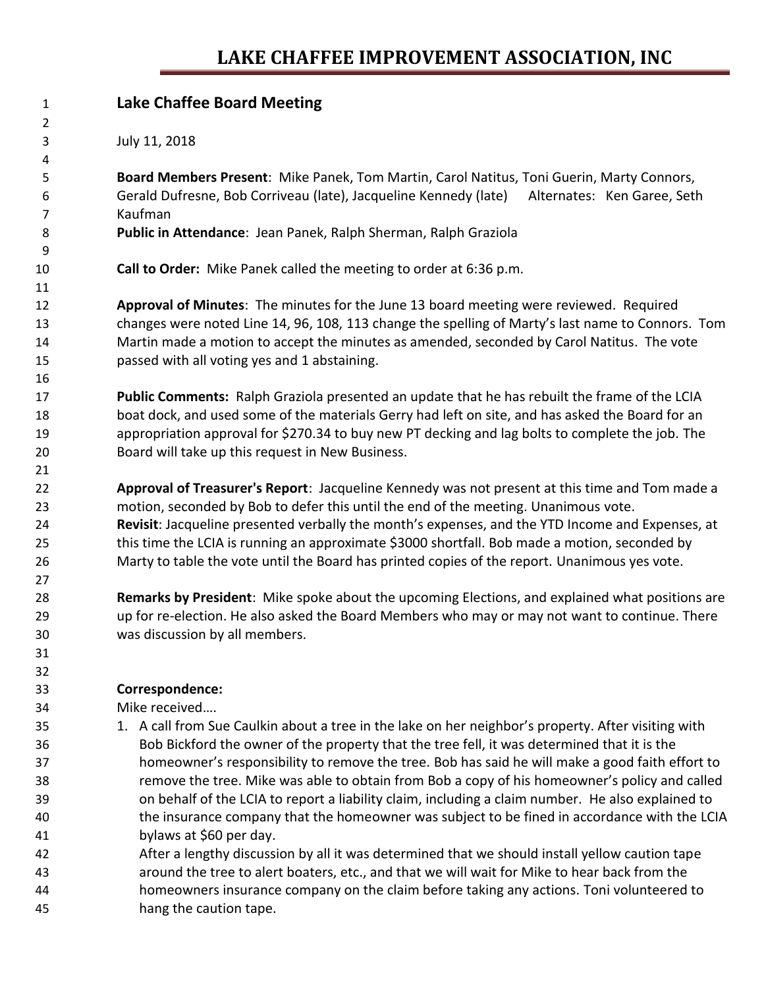### **LAKE CHAFFEE IMPROVEMENT ASSOCIATION, INC**

| 1              | <b>Lake Chaffee Board Meeting</b>                                                                   |
|----------------|-----------------------------------------------------------------------------------------------------|
| $\overline{2}$ |                                                                                                     |
| 3              | July 11, 2018                                                                                       |
| 4              |                                                                                                     |
| 5              | Board Members Present: Mike Panek, Tom Martin, Carol Natitus, Toni Guerin, Marty Connors,           |
| 6              | Gerald Dufresne, Bob Corriveau (late), Jacqueline Kennedy (late)<br>Alternates: Ken Garee, Seth     |
| $\overline{7}$ | Kaufman                                                                                             |
| 8              | Public in Attendance: Jean Panek, Ralph Sherman, Ralph Graziola                                     |
| 9              |                                                                                                     |
| 10             | Call to Order: Mike Panek called the meeting to order at 6:36 p.m.                                  |
| 11             |                                                                                                     |
| 12             | Approval of Minutes: The minutes for the June 13 board meeting were reviewed. Required              |
| 13             | changes were noted Line 14, 96, 108, 113 change the spelling of Marty's last name to Connors. Tom   |
| 14             | Martin made a motion to accept the minutes as amended, seconded by Carol Natitus. The vote          |
| 15             | passed with all voting yes and 1 abstaining.                                                        |
| 16             |                                                                                                     |
| 17             | Public Comments: Ralph Graziola presented an update that he has rebuilt the frame of the LCIA       |
| 18             | boat dock, and used some of the materials Gerry had left on site, and has asked the Board for an    |
| 19             | appropriation approval for \$270.34 to buy new PT decking and lag bolts to complete the job. The    |
| 20             | Board will take up this request in New Business.                                                    |
| 21             |                                                                                                     |
| 22             | Approval of Treasurer's Report: Jacqueline Kennedy was not present at this time and Tom made a      |
| 23             | motion, seconded by Bob to defer this until the end of the meeting. Unanimous vote.                 |
| 24             | Revisit: Jacqueline presented verbally the month's expenses, and the YTD Income and Expenses, at    |
| 25             | this time the LCIA is running an approximate \$3000 shortfall. Bob made a motion, seconded by       |
| 26             | Marty to table the vote until the Board has printed copies of the report. Unanimous yes vote.       |
| 27             |                                                                                                     |
| 28             | Remarks by President: Mike spoke about the upcoming Elections, and explained what positions are     |
| 29             | up for re-election. He also asked the Board Members who may or may not want to continue. There      |
| 30             | was discussion by all members.                                                                      |
| 31             |                                                                                                     |
| 32             |                                                                                                     |
| 33             | Correspondence:                                                                                     |
| 34             | Mike received                                                                                       |
| 35             | 1. A call from Sue Caulkin about a tree in the lake on her neighbor's property. After visiting with |
| 36             | Bob Bickford the owner of the property that the tree fell, it was determined that it is the         |
| 37             | homeowner's responsibility to remove the tree. Bob has said he will make a good faith effort to     |
| 38             | remove the tree. Mike was able to obtain from Bob a copy of his homeowner's policy and called       |
| 39             | on behalf of the LCIA to report a liability claim, including a claim number. He also explained to   |
| 40             | the insurance company that the homeowner was subject to be fined in accordance with the LCIA        |
| 41             | bylaws at \$60 per day.                                                                             |
| 42             | After a lengthy discussion by all it was determined that we should install yellow caution tape      |
| 43             | around the tree to alert boaters, etc., and that we will wait for Mike to hear back from the        |
| 44             | homeowners insurance company on the claim before taking any actions. Toni volunteered to            |
| 45             | hang the caution tape.                                                                              |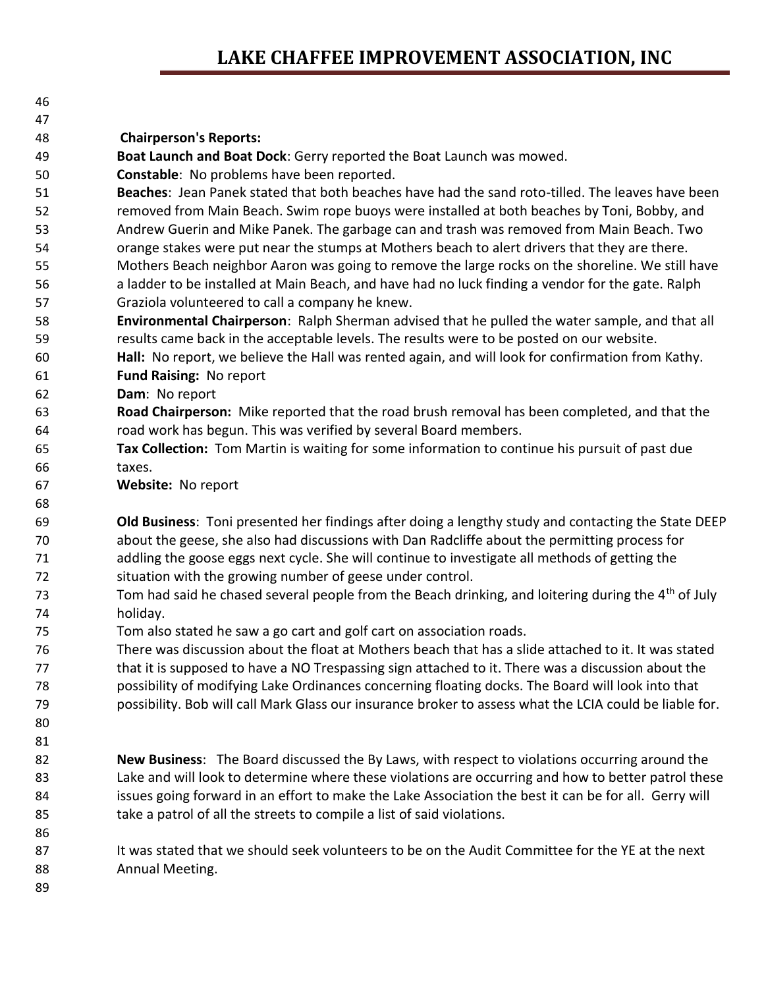### **LAKE CHAFFEE IMPROVEMENT ASSOCIATION, INC**

| ۰. |
|----|
|    |

#### 

#### **Chairperson's Reports:**

**Boat Launch and Boat Dock**: Gerry reported the Boat Launch was mowed.

- **Constable**: No problems have been reported.
- **Beaches**: Jean Panek stated that both beaches have had the sand roto-tilled. The leaves have been removed from Main Beach. Swim rope buoys were installed at both beaches by Toni, Bobby, and Andrew Guerin and Mike Panek. The garbage can and trash was removed from Main Beach. Two orange stakes were put near the stumps at Mothers beach to alert drivers that they are there. Mothers Beach neighbor Aaron was going to remove the large rocks on the shoreline. We still have a ladder to be installed at Main Beach, and have had no luck finding a vendor for the gate. Ralph
- Graziola volunteered to call a company he knew.
- **Environmental Chairperson**: Ralph Sherman advised that he pulled the water sample, and that all results came back in the acceptable levels. The results were to be posted on our website.
- **Hall:** No report, we believe the Hall was rented again, and will look for confirmation from Kathy. **Fund Raising:** No report
- **Dam**: No report
- **Road Chairperson:** Mike reported that the road brush removal has been completed, and that the road work has begun. This was verified by several Board members.
- **Tax Collection:** Tom Martin is waiting for some information to continue his pursuit of past due taxes.
- **Website:** No report

 **Old Business**: Toni presented her findings after doing a lengthy study and contacting the State DEEP about the geese, she also had discussions with Dan Radcliffe about the permitting process for addling the goose eggs next cycle. She will continue to investigate all methods of getting the situation with the growing number of geese under control.

- Tom had said he chased several people from the Beach drinking, and loitering during the 4<sup>th</sup> of July holiday.
- Tom also stated he saw a go cart and golf cart on association roads.
- There was discussion about the float at Mothers beach that has a slide attached to it. It was stated that it is supposed to have a NO Trespassing sign attached to it. There was a discussion about the possibility of modifying Lake Ordinances concerning floating docks. The Board will look into that possibility. Bob will call Mark Glass our insurance broker to assess what the LCIA could be liable for.
- 

- **New Business**: The Board discussed the By Laws, with respect to violations occurring around the Lake and will look to determine where these violations are occurring and how to better patrol these 84 issues going forward in an effort to make the Lake Association the best it can be for all. Gerry will take a patrol of all the streets to compile a list of said violations.
- 87 It was stated that we should seek volunteers to be on the Audit Committee for the YE at the next Annual Meeting.
-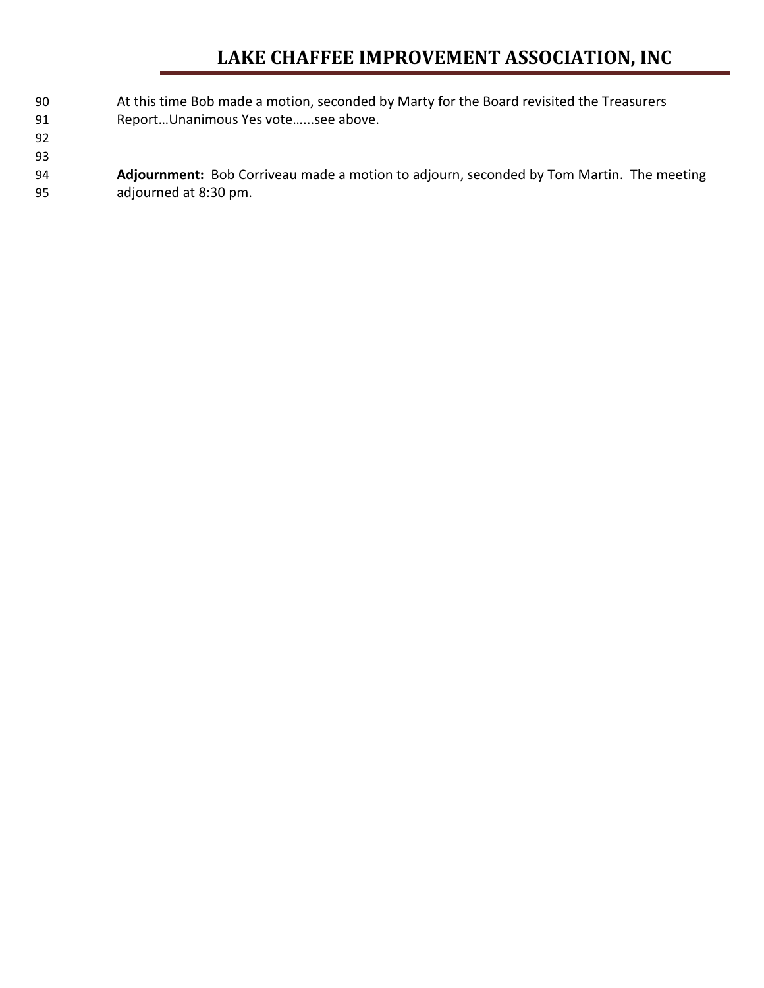### **LAKE CHAFFEE IMPROVEMENT ASSOCIATION, INC**

- At this time Bob made a motion, seconded by Marty for the Board revisited the Treasurers 91 Report...Unanimous Yes vote......see above.
- 
- **Adjournment:** Bob Corriveau made a motion to adjourn, seconded by Tom Martin. The meeting adjourned at 8:30 pm.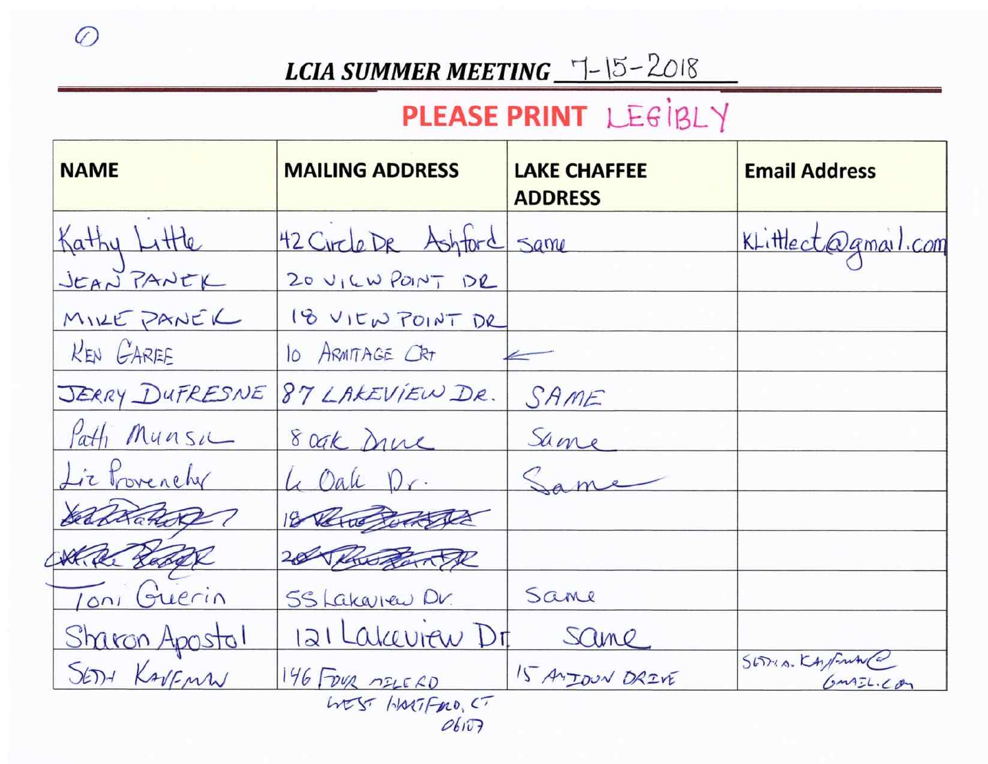### **LCIA SUMMER MEETING**  $\frac{-1}{5}$  -  $15 - 2018$

## PLEASE PRINT LEGIBLY

| <b>NAME</b>                       | <b>MAILING ADDRESS</b>    | <b>LAKE CHAFFEE</b><br><b>ADDRESS</b> | <b>Email Address</b>        |  |  |  |
|-----------------------------------|---------------------------|---------------------------------------|-----------------------------|--|--|--|
| Kathy Little                      | 42 Circle DR Ashford Same |                                       | KLittlect@gmail.com         |  |  |  |
| JEAN PANEK                        | 20 VICW POINT DR          |                                       |                             |  |  |  |
| MILE PANEL                        | 18 VIEW POINT DR          |                                       |                             |  |  |  |
| <b>KEN GAREE</b>                  | 10 ARMITAGE CRT           |                                       |                             |  |  |  |
| JERRY DUFRESNE                    | 87 LAKEVIEW DR.           | SAME                                  |                             |  |  |  |
| Path Munsic                       | 8 oak Druc                | Same                                  |                             |  |  |  |
| Lie Provenely                     | 4 Oak Dr.                 | Same                                  |                             |  |  |  |
| belaka Rope                       | 18 Pero Both The          |                                       |                             |  |  |  |
| KR Radde                          | 20 Progente               |                                       |                             |  |  |  |
| Toni Guerin                       | 55 Lakaren Dr.            | Same                                  |                             |  |  |  |
| Sharon Apostol                    | 121 Lakeview Dr           | Same                                  |                             |  |  |  |
| SEDY KAVENN                       | 146 FOUR MELERO           | 15 ANJOUN DRIVE                       | SETTIA. KANFRANCO<br>GMTL.C |  |  |  |
| LATST HORTFORD, CT<br>$ObI\cup P$ |                           |                                       |                             |  |  |  |